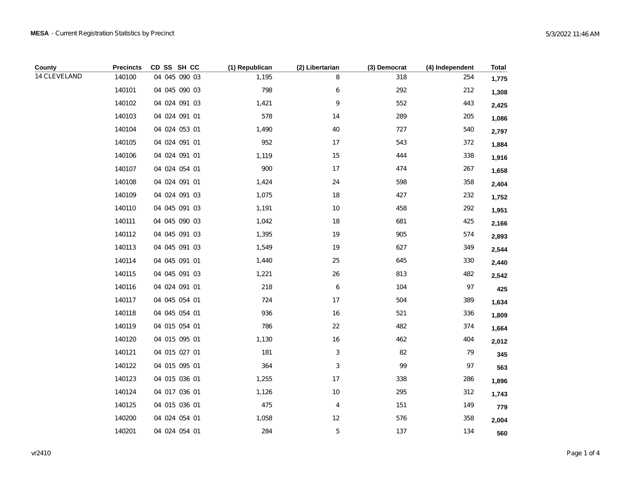| County       | <b>Precincts</b> | CD SS SH CC   | (1) Republican | (2) Libertarian | (3) Democrat | (4) Independent | <b>Total</b> |
|--------------|------------------|---------------|----------------|-----------------|--------------|-----------------|--------------|
| 14 CLEVELAND | 140100           | 04 045 090 03 | 1,195          | 8               | 318          | 254             | 1,775        |
|              | 140101           | 04 045 090 03 | 798            | 6               | 292          | 212             | 1,308        |
|              | 140102           | 04 024 091 03 | 1,421          | 9               | 552          | 443             | 2,425        |
|              | 140103           | 04 024 091 01 | 578            | 14              | 289          | 205             | 1,086        |
|              | 140104           | 04 024 053 01 | 1,490          | 40              | 727          | 540             | 2,797        |
|              | 140105           | 04 024 091 01 | 952            | 17              | 543          | 372             | 1,884        |
|              | 140106           | 04 024 091 01 | 1,119          | 15              | 444          | 338             | 1,916        |
|              | 140107           | 04 024 054 01 | 900            | 17              | 474          | 267             | 1,658        |
|              | 140108           | 04 024 091 01 | 1,424          | 24              | 598          | 358             | 2,404        |
|              | 140109           | 04 024 091 03 | 1,075          | 18              | 427          | 232             | 1,752        |
|              | 140110           | 04 045 091 03 | 1,191          | 10              | 458          | 292             | 1,951        |
|              | 140111           | 04 045 090 03 | 1,042          | 18              | 681          | 425             | 2,166        |
|              | 140112           | 04 045 091 03 | 1,395          | 19              | 905          | 574             | 2,893        |
|              | 140113           | 04 045 091 03 | 1,549          | 19              | 627          | 349             | 2,544        |
|              | 140114           | 04 045 091 01 | 1,440          | 25              | 645          | 330             | 2,440        |
|              | 140115           | 04 045 091 03 | 1,221          | 26              | 813          | 482             | 2,542        |
|              | 140116           | 04 024 091 01 | 218            | 6               | 104          | 97              | 425          |
|              | 140117           | 04 045 054 01 | 724            | 17              | 504          | 389             | 1,634        |
|              | 140118           | 04 045 054 01 | 936            | 16              | 521          | 336             | 1,809        |
|              | 140119           | 04 015 054 01 | 786            | 22              | 482          | 374             | 1,664        |
|              | 140120           | 04 015 095 01 | 1,130          | 16              | 462          | 404             | 2,012        |
|              | 140121           | 04 015 027 01 | 181            | 3               | 82           | 79              | 345          |
|              | 140122           | 04 015 095 01 | 364            | 3               | 99           | 97              | 563          |
|              | 140123           | 04 015 036 01 | 1,255          | 17              | 338          | 286             | 1,896        |
|              | 140124           | 04 017 036 01 | 1,126          | $10$            | 295          | 312             | 1,743        |
|              | 140125           | 04 015 036 01 | 475            | 4               | 151          | 149             | 779          |
|              | 140200           | 04 024 054 01 | 1,058          | 12              | 576          | 358             | 2,004        |
|              | 140201           | 04 024 054 01 | 284            | 5               | 137          | 134             | 560          |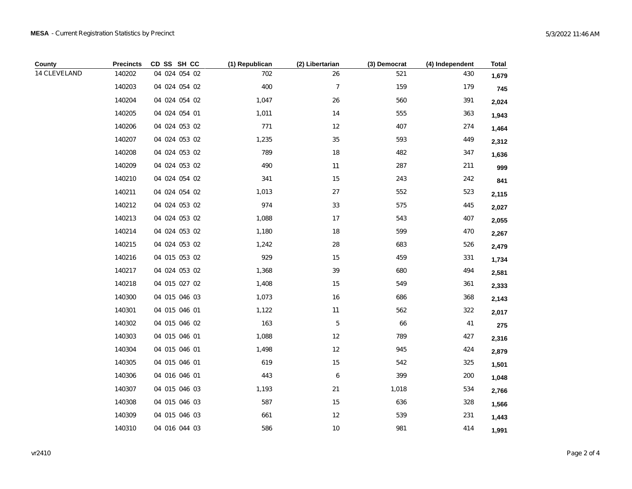| County       | <b>Precincts</b> | CD SS SH CC   | (1) Republican | (2) Libertarian | (3) Democrat | (4) Independent | <b>Total</b> |
|--------------|------------------|---------------|----------------|-----------------|--------------|-----------------|--------------|
| 14 CLEVELAND | 140202           | 04 024 054 02 | 702            | 26              | 521          | 430             | 1,679        |
|              | 140203           | 04 024 054 02 | 400            | $\overline{7}$  | 159          | 179             | 745          |
|              | 140204           | 04 024 054 02 | 1,047          | 26              | 560          | 391             | 2,024        |
|              | 140205           | 04 024 054 01 | 1,011          | 14              | 555          | 363             | 1,943        |
|              | 140206           | 04 024 053 02 | 771            | 12              | 407          | 274             | 1,464        |
|              | 140207           | 04 024 053 02 | 1,235          | 35              | 593          | 449             | 2,312        |
|              | 140208           | 04 024 053 02 | 789            | 18              | 482          | 347             | 1,636        |
|              | 140209           | 04 024 053 02 | 490            | 11              | 287          | 211             | 999          |
|              | 140210           | 04 024 054 02 | 341            | 15              | 243          | 242             | 841          |
|              | 140211           | 04 024 054 02 | 1,013          | $27\,$          | 552          | 523             | 2,115        |
|              | 140212           | 04 024 053 02 | 974            | 33              | 575          | 445             | 2,027        |
|              | 140213           | 04 024 053 02 | 1,088          | 17              | 543          | 407             | 2,055        |
|              | 140214           | 04 024 053 02 | 1,180          | 18              | 599          | 470             | 2,267        |
|              | 140215           | 04 024 053 02 | 1,242          | 28              | 683          | 526             | 2,479        |
|              | 140216           | 04 015 053 02 | 929            | 15              | 459          | 331             | 1,734        |
|              | 140217           | 04 024 053 02 | 1,368          | 39              | 680          | 494             | 2,581        |
|              | 140218           | 04 015 027 02 | 1,408          | 15              | 549          | 361             | 2,333        |
|              | 140300           | 04 015 046 03 | 1,073          | 16              | 686          | 368             | 2,143        |
|              | 140301           | 04 015 046 01 | 1,122          | 11              | 562          | 322             | 2,017        |
|              | 140302           | 04 015 046 02 | 163            | $\,$ 5 $\,$     | 66           | 41              | 275          |
|              | 140303           | 04 015 046 01 | 1,088          | 12              | 789          | 427             | 2,316        |
|              | 140304           | 04 015 046 01 | 1,498          | 12              | 945          | 424             | 2,879        |
|              | 140305           | 04 015 046 01 | 619            | 15              | 542          | 325             | 1,501        |
|              | 140306           | 04 016 046 01 | 443            | 6               | 399          | 200             | 1,048        |
|              | 140307           | 04 015 046 03 | 1,193          | 21              | 1,018        | 534             | 2,766        |
|              | 140308           | 04 015 046 03 | 587            | 15              | 636          | 328             | 1,566        |
|              | 140309           | 04 015 046 03 | 661            | 12              | 539          | 231             | 1,443        |
|              | 140310           | 04 016 044 03 | 586            | 10              | 981          | 414             | 1,991        |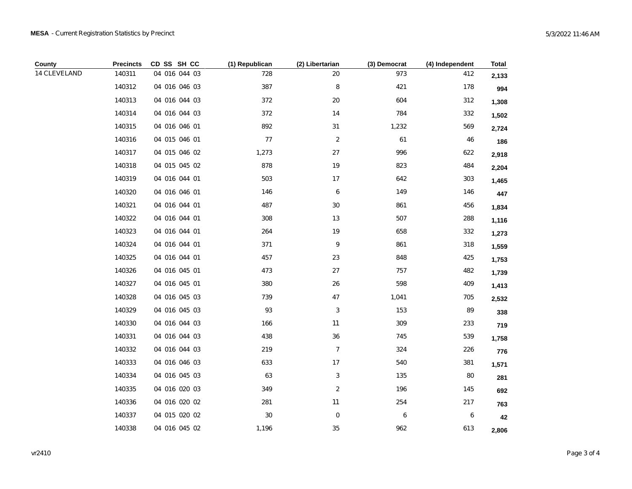| County       | <b>Precincts</b> | CD SS SH CC   | (1) Republican | (2) Libertarian | (3) Democrat | (4) Independent | <b>Total</b> |
|--------------|------------------|---------------|----------------|-----------------|--------------|-----------------|--------------|
| 14 CLEVELAND | 140311           | 04 016 044 03 | 728            | 20              | 973          | 412             | 2,133        |
|              | 140312           | 04 016 046 03 | 387            | 8               | 421          | 178             | 994          |
|              | 140313           | 04 016 044 03 | 372            | 20              | 604          | 312             | 1,308        |
|              | 140314           | 04 016 044 03 | 372            | 14              | 784          | 332             | 1,502        |
|              | 140315           | 04 016 046 01 | 892            | 31              | 1,232        | 569             | 2,724        |
|              | 140316           | 04 015 046 01 | 77             | 2               | 61           | 46              | 186          |
|              | 140317           | 04 015 046 02 | 1,273          | 27              | 996          | 622             | 2,918        |
|              | 140318           | 04 015 045 02 | 878            | 19              | 823          | 484             | 2,204        |
|              | 140319           | 04 016 044 01 | 503            | 17              | 642          | 303             | 1,465        |
|              | 140320           | 04 016 046 01 | 146            | 6               | 149          | 146             | 447          |
|              | 140321           | 04 016 044 01 | 487            | 30              | 861          | 456             | 1,834        |
|              | 140322           | 04 016 044 01 | 308            | 13              | 507          | 288             | 1,116        |
|              | 140323           | 04 016 044 01 | 264            | 19              | 658          | 332             | 1,273        |
|              | 140324           | 04 016 044 01 | 371            | 9               | 861          | 318             | 1,559        |
|              | 140325           | 04 016 044 01 | 457            | 23              | 848          | 425             | 1,753        |
|              | 140326           | 04 016 045 01 | 473            | 27              | 757          | 482             | 1,739        |
|              | 140327           | 04 016 045 01 | 380            | 26              | 598          | 409             | 1,413        |
|              | 140328           | 04 016 045 03 | 739            | 47              | 1,041        | 705             | 2,532        |
|              | 140329           | 04 016 045 03 | 93             | 3               | 153          | 89              | 338          |
|              | 140330           | 04 016 044 03 | 166            | 11              | 309          | 233             | 719          |
|              | 140331           | 04 016 044 03 | 438            | 36              | 745          | 539             | 1,758        |
|              | 140332           | 04 016 044 03 | 219            | $\overline{7}$  | 324          | 226             | 776          |
|              | 140333           | 04 016 046 03 | 633            | 17              | 540          | 381             | 1,571        |
|              | 140334           | 04 016 045 03 | 63             | 3               | 135          | $80\,$          | 281          |
|              | 140335           | 04 016 020 03 | 349            | 2               | 196          | 145             | 692          |
|              | 140336           | 04 016 020 02 | 281            | 11              | 254          | 217             | 763          |
|              | 140337           | 04 015 020 02 | 30             | 0               | 6            | 6               | 42           |
|              | 140338           | 04 016 045 02 | 1,196          | 35              | 962          | 613             | 2,806        |